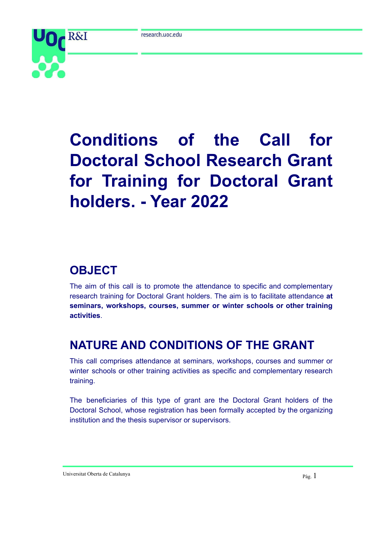

# **Conditions of the Call for Doctoral School Research Grant for Training for Doctoral Grant holders. - Year 2022**

## **OBJECT**

The aim of this call is to promote the attendance to specific and complementary research training for Doctoral Grant holders. The aim is to facilitate attendance **at seminars, workshops, courses, summer or winter schools or other training activities**.

## **NATURE AND CONDITIONS OF THE GRANT**

This call comprises attendance at seminars, workshops, courses and summer or winter schools or other training activities as specific and complementary research training.

The beneficiaries of this type of grant are the Doctoral Grant holders of the Doctoral School, whose registration has been formally accepted by the organizing institution and the thesis supervisor or supervisors.

Universitat Oberta de Catalunya Pàg. 1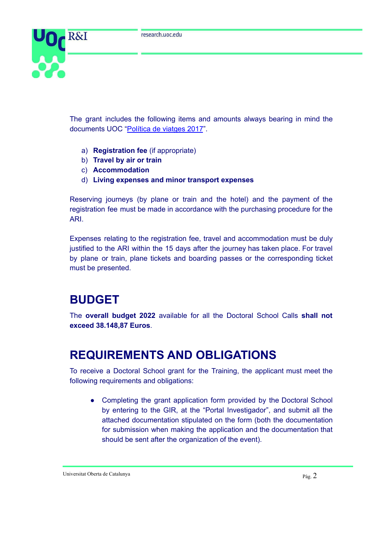

The grant includes the following items and amounts always bearing in mind the documents UOC "[Política](http://cv.uoc.edu/webapps/intrauoc2/documents/10530/247815/Pol%C3%ADtica+de+viatges+2017/e93d12cb-b4c7-4068-9e92-58101070e27e?redirect=http%3A%2F%2Fcv.uoc.edu%2Fwebapps%2Fintrauoc2%2Fgroup%2Fintrauoc%2Finterior%3Fp_p_id%3D175_INSTANCE_XytVkPhnH1H4%26p_p_lifecycle%3D0%26p_p_state%3Dnormal%26p_p_mode%3Dview%26p_p_col_id%3Dcolumn-3%26p_p_col_pos%3D2%26p_p_col_count%3D4) de viatges 2017".

- a) **Registration fee** (if appropriate)
- b) **Travel by air or train**
- c) **Accommodation**
- d) **Living expenses and minor transport expenses**

Reserving journeys (by plane or train and the hotel) and the payment of the registration fee must be made in accordance with the purchasing procedure for the ARI.

Expenses relating to the registration fee, travel and accommodation must be duly justified to the ARI within the 15 days after the journey has taken place. For travel by plane or train, plane tickets and boarding passes or the corresponding ticket must be presented.

#### **BUDGET**

The **overall budget 2022** available for all the Doctoral School Calls **shall not exceed 38.148,87 Euros**.

#### **REQUIREMENTS AND OBLIGATIONS**

To receive a Doctoral School grant for the Training, the applicant must meet the following requirements and obligations:

• Completing the grant application form provided by the Doctoral School by entering to the GIR, at the "Portal Investigador", and submit all the attached documentation stipulated on the form (both the documentation for submission when making the application and the documentation that should be sent after the organization of the event).

Universitat Oberta de Catalunya Pàg. 2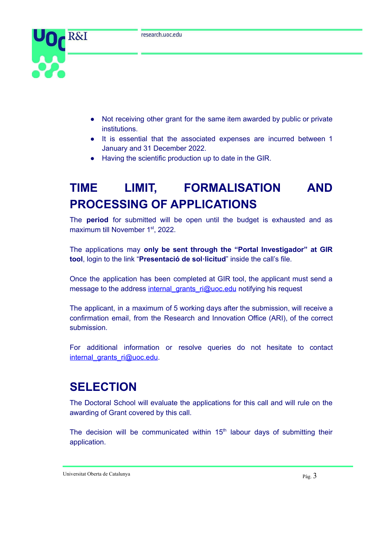

- Not receiving other grant for the same item awarded by public or private institutions.
- It is essential that the associated expenses are incurred between 1 January and 31 December 2022.
- Having the scientific production up to date in the GIR.

# **TIME LIMIT, FORMALISATION AND PROCESSING OF APPLICATIONS**

The **period** for submitted will be open until the budget is exhausted and as maximum till November 1<sup>st</sup>, 2022.

The applications may **only be sent through the "Portal Investigador" at GIR tool**, login to the link "**Presentació de sol·licitud**" inside the call's file.

Once the application has been completed at GIR tool, the applicant must send a message to the address [internal\\_grants\\_ri@uoc.edu](mailto:internal_grants_ri@uoc.edu) notifying his request

The applicant, in a maximum of 5 working days after the submission, will receive a confirmation email, from the Research and Innovation Office (ARI), of the correct submission.

For additional information or resolve queries do not hesitate to contact internal grants ri@uoc.edu.

## **SELECTION**

The Doctoral School will evaluate the applications for this call and will rule on the awarding of Grant covered by this call.

The decision will be communicated within  $15<sup>th</sup>$  labour days of submitting their application.

Universitat Oberta de Catalunya Pàg. 3